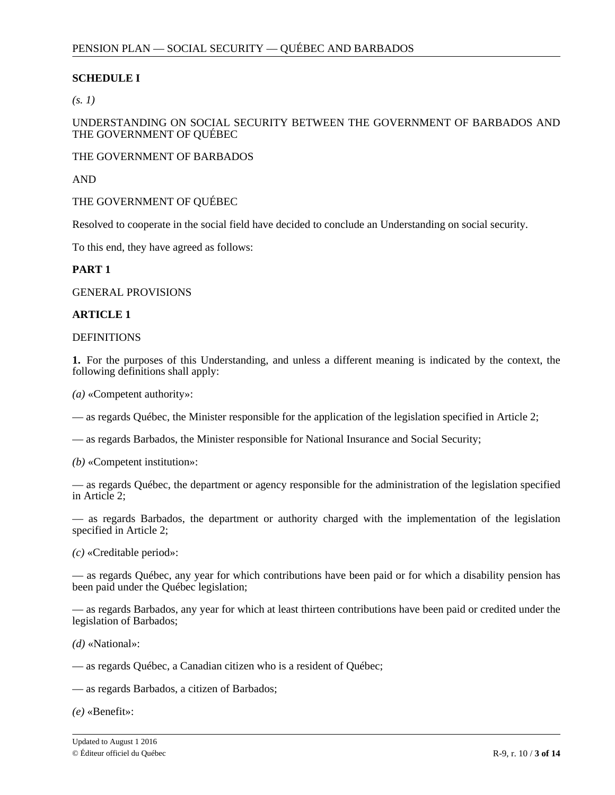# **SCHEDULE I**

*(s. 1)*

UNDERSTANDING ON SOCIAL SECURITY BETWEEN THE GOVERNMENT OF BARBADOS AND THE GOVERNMENT OF QUÉBEC

THE GOVERNMENT OF BARBADOS

AND

THE GOVERNMENT OF QUÉBEC

Resolved to cooperate in the social field have decided to conclude an Understanding on social security.

To this end, they have agreed as follows:

### **PART 1**

GENERAL PROVISIONS

### **ARTICLE 1**

**DEFINITIONS** 

**1.** For the purposes of this Understanding, and unless a different meaning is indicated by the context, the following definitions shall apply:

*(a)* «Competent authority»:

— as regards Québec, the Minister responsible for the application of the legislation specified in Article 2;

— as regards Barbados, the Minister responsible for National Insurance and Social Security;

*(b)* «Competent institution»:

— as regards Québec, the department or agency responsible for the administration of the legislation specified in Article 2;

— as regards Barbados, the department or authority charged with the implementation of the legislation specified in Article 2;

*(c)* «Creditable period»:

— as regards Québec, any year for which contributions have been paid or for which a disability pension has been paid under the Québec legislation;

— as regards Barbados, any year for which at least thirteen contributions have been paid or credited under the legislation of Barbados;

*(d)* «National»:

— as regards Québec, a Canadian citizen who is a resident of Québec;

— as regards Barbados, a citizen of Barbados;

*(e)* «Benefit»: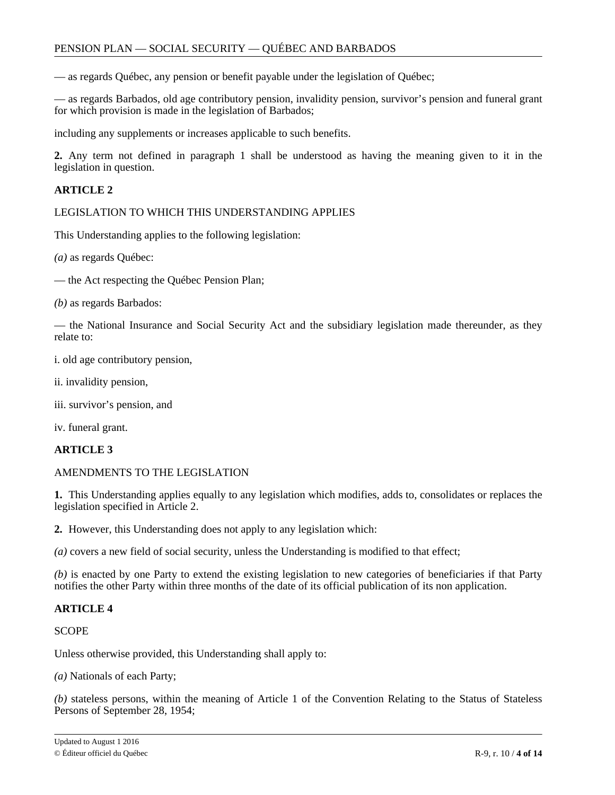— as regards Québec, any pension or benefit payable under the legislation of Québec;

— as regards Barbados, old age contributory pension, invalidity pension, survivor's pension and funeral grant for which provision is made in the legislation of Barbados;

including any supplements or increases applicable to such benefits.

**2.** Any term not defined in paragraph 1 shall be understood as having the meaning given to it in the legislation in question.

# **ARTICLE 2**

LEGISLATION TO WHICH THIS UNDERSTANDING APPLIES

This Understanding applies to the following legislation:

*(a)* as regards Québec:

— the Act respecting the Québec Pension Plan;

*(b)* as regards Barbados:

— the National Insurance and Social Security Act and the subsidiary legislation made thereunder, as they relate to:

i. old age contributory pension,

ii. invalidity pension,

iii. survivor's pension, and

iv. funeral grant.

### **ARTICLE 3**

AMENDMENTS TO THE LEGISLATION

**1.** This Understanding applies equally to any legislation which modifies, adds to, consolidates or replaces the legislation specified in Article 2.

**2.** However, this Understanding does not apply to any legislation which:

*(a)* covers a new field of social security, unless the Understanding is modified to that effect;

*(b)* is enacted by one Party to extend the existing legislation to new categories of beneficiaries if that Party notifies the other Party within three months of the date of its official publication of its non application.

### **ARTICLE 4**

**SCOPE** 

Unless otherwise provided, this Understanding shall apply to:

*(a)* Nationals of each Party;

*(b)* stateless persons, within the meaning of Article 1 of the Convention Relating to the Status of Stateless Persons of September 28, 1954;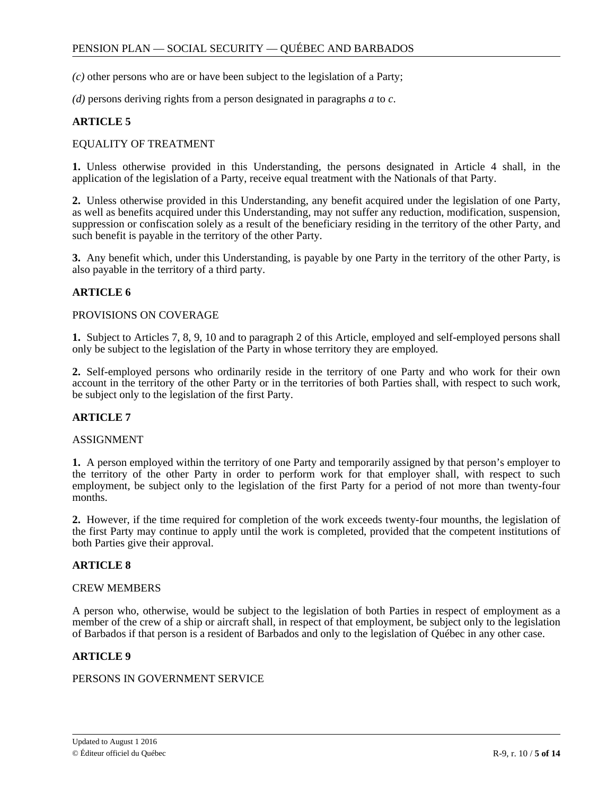*(c)* other persons who are or have been subject to the legislation of a Party;

*(d)* persons deriving rights from a person designated in paragraphs *a* to *c*.

# **ARTICLE 5**

### EQUALITY OF TREATMENT

**1.** Unless otherwise provided in this Understanding, the persons designated in Article 4 shall, in the application of the legislation of a Party, receive equal treatment with the Nationals of that Party.

**2.** Unless otherwise provided in this Understanding, any benefit acquired under the legislation of one Party, as well as benefits acquired under this Understanding, may not suffer any reduction, modification, suspension, suppression or confiscation solely as a result of the beneficiary residing in the territory of the other Party, and such benefit is payable in the territory of the other Party.

**3.** Any benefit which, under this Understanding, is payable by one Party in the territory of the other Party, is also payable in the territory of a third party.

# **ARTICLE 6**

### PROVISIONS ON COVERAGE

**1.** Subject to Articles 7, 8, 9, 10 and to paragraph 2 of this Article, employed and self-employed persons shall only be subject to the legislation of the Party in whose territory they are employed.

**2.** Self-employed persons who ordinarily reside in the territory of one Party and who work for their own account in the territory of the other Party or in the territories of both Parties shall, with respect to such work, be subject only to the legislation of the first Party.

### **ARTICLE 7**

#### ASSIGNMENT

**1.** A person employed within the territory of one Party and temporarily assigned by that person's employer to the territory of the other Party in order to perform work for that employer shall, with respect to such employment, be subject only to the legislation of the first Party for a period of not more than twenty-four months.

**2.** However, if the time required for completion of the work exceeds twenty-four mounths, the legislation of the first Party may continue to apply until the work is completed, provided that the competent institutions of both Parties give their approval.

### **ARTICLE 8**

### CREW MEMBERS

A person who, otherwise, would be subject to the legislation of both Parties in respect of employment as a member of the crew of a ship or aircraft shall, in respect of that employment, be subject only to the legislation of Barbados if that person is a resident of Barbados and only to the legislation of Québec in any other case.

### **ARTICLE 9**

### PERSONS IN GOVERNMENT SERVICE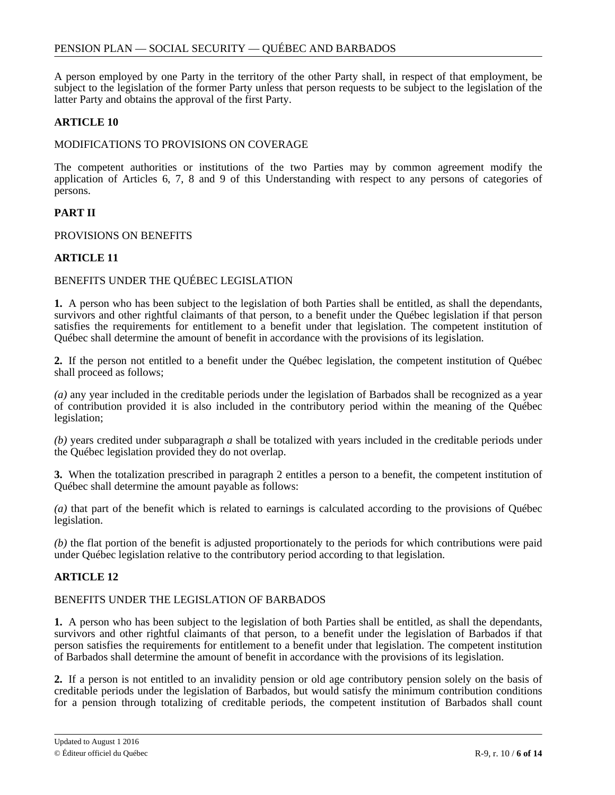A person employed by one Party in the territory of the other Party shall, in respect of that employment, be subject to the legislation of the former Party unless that person requests to be subject to the legislation of the latter Party and obtains the approval of the first Party.

# **ARTICLE 10**

### MODIFICATIONS TO PROVISIONS ON COVERAGE

The competent authorities or institutions of the two Parties may by common agreement modify the application of Articles 6, 7, 8 and 9 of this Understanding with respect to any persons of categories of persons.

# **PART II**

### PROVISIONS ON BENEFITS

### **ARTICLE 11**

### BENEFITS UNDER THE QUÉBEC LEGISLATION

**1.** A person who has been subject to the legislation of both Parties shall be entitled, as shall the dependants, survivors and other rightful claimants of that person, to a benefit under the Québec legislation if that person satisfies the requirements for entitlement to a benefit under that legislation. The competent institution of Québec shall determine the amount of benefit in accordance with the provisions of its legislation.

**2.** If the person not entitled to a benefit under the Québec legislation, the competent institution of Québec shall proceed as follows;

*(a)* any year included in the creditable periods under the legislation of Barbados shall be recognized as a year of contribution provided it is also included in the contributory period within the meaning of the Québec legislation;

*(b)* years credited under subparagraph *a* shall be totalized with years included in the creditable periods under the Québec legislation provided they do not overlap.

**3.** When the totalization prescribed in paragraph 2 entitles a person to a benefit, the competent institution of Québec shall determine the amount payable as follows:

*(a)* that part of the benefit which is related to earnings is calculated according to the provisions of Québec legislation.

*(b)* the flat portion of the benefit is adjusted proportionately to the periods for which contributions were paid under Québec legislation relative to the contributory period according to that legislation.

# **ARTICLE 12**

### BENEFITS UNDER THE LEGISLATION OF BARBADOS

**1.** A person who has been subject to the legislation of both Parties shall be entitled, as shall the dependants, survivors and other rightful claimants of that person, to a benefit under the legislation of Barbados if that person satisfies the requirements for entitlement to a benefit under that legislation. The competent institution of Barbados shall determine the amount of benefit in accordance with the provisions of its legislation.

**2.** If a person is not entitled to an invalidity pension or old age contributory pension solely on the basis of creditable periods under the legislation of Barbados, but would satisfy the minimum contribution conditions for a pension through totalizing of creditable periods, the competent institution of Barbados shall count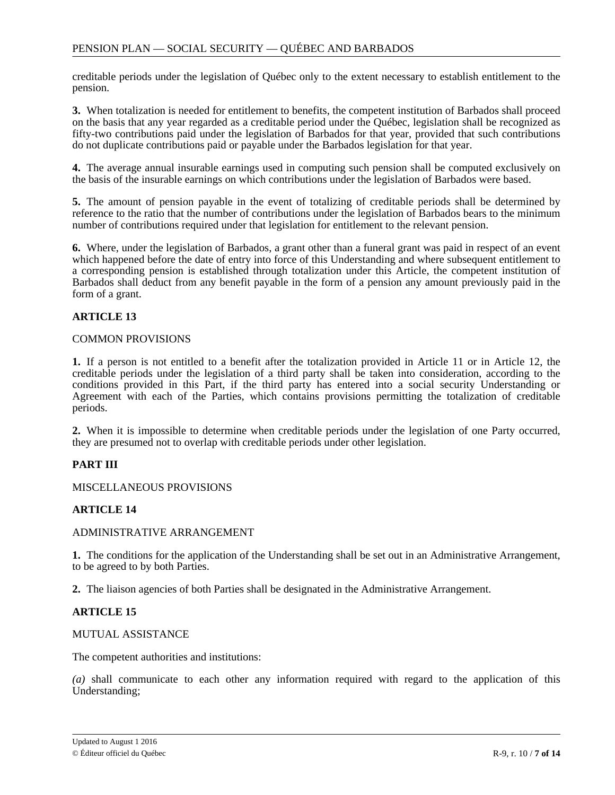creditable periods under the legislation of Québec only to the extent necessary to establish entitlement to the pension.

**3.** When totalization is needed for entitlement to benefits, the competent institution of Barbados shall proceed on the basis that any year regarded as a creditable period under the Québec, legislation shall be recognized as fifty-two contributions paid under the legislation of Barbados for that year, provided that such contributions do not duplicate contributions paid or payable under the Barbados legislation for that year.

**4.** The average annual insurable earnings used in computing such pension shall be computed exclusively on the basis of the insurable earnings on which contributions under the legislation of Barbados were based.

**5.** The amount of pension payable in the event of totalizing of creditable periods shall be determined by reference to the ratio that the number of contributions under the legislation of Barbados bears to the minimum number of contributions required under that legislation for entitlement to the relevant pension.

**6.** Where, under the legislation of Barbados, a grant other than a funeral grant was paid in respect of an event which happened before the date of entry into force of this Understanding and where subsequent entitlement to a corresponding pension is established through totalization under this Article, the competent institution of Barbados shall deduct from any benefit payable in the form of a pension any amount previously paid in the form of a grant.

# **ARTICLE 13**

### COMMON PROVISIONS

**1.** If a person is not entitled to a benefit after the totalization provided in Article 11 or in Article 12, the creditable periods under the legislation of a third party shall be taken into consideration, according to the conditions provided in this Part, if the third party has entered into a social security Understanding or Agreement with each of the Parties, which contains provisions permitting the totalization of creditable periods.

**2.** When it is impossible to determine when creditable periods under the legislation of one Party occurred, they are presumed not to overlap with creditable periods under other legislation.

### **PART III**

MISCELLANEOUS PROVISIONS

### **ARTICLE 14**

### ADMINISTRATIVE ARRANGEMENT

**1.** The conditions for the application of the Understanding shall be set out in an Administrative Arrangement, to be agreed to by both Parties.

**2.** The liaison agencies of both Parties shall be designated in the Administrative Arrangement.

### **ARTICLE 15**

#### MUTUAL ASSISTANCE

The competent authorities and institutions:

*(a)* shall communicate to each other any information required with regard to the application of this Understanding;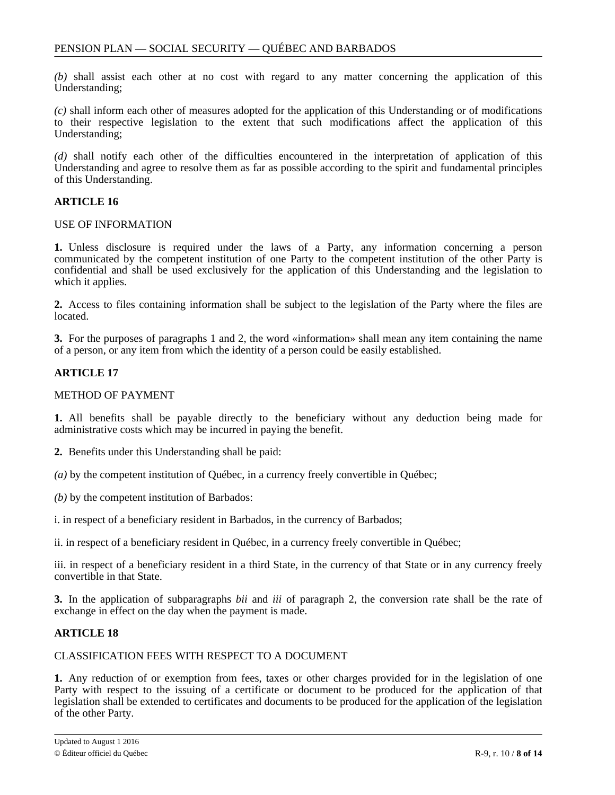*(b)* shall assist each other at no cost with regard to any matter concerning the application of this Understanding;

*(c)* shall inform each other of measures adopted for the application of this Understanding or of modifications to their respective legislation to the extent that such modifications affect the application of this Understanding;

*(d)* shall notify each other of the difficulties encountered in the interpretation of application of this Understanding and agree to resolve them as far as possible according to the spirit and fundamental principles of this Understanding.

# **ARTICLE 16**

#### USE OF INFORMATION

**1.** Unless disclosure is required under the laws of a Party, any information concerning a person communicated by the competent institution of one Party to the competent institution of the other Party is confidential and shall be used exclusively for the application of this Understanding and the legislation to which it applies.

**2.** Access to files containing information shall be subject to the legislation of the Party where the files are located.

**3.** For the purposes of paragraphs 1 and 2, the word «information» shall mean any item containing the name of a person, or any item from which the identity of a person could be easily established.

# **ARTICLE 17**

#### METHOD OF PAYMENT

**1.** All benefits shall be payable directly to the beneficiary without any deduction being made for administrative costs which may be incurred in paying the benefit.

**2.** Benefits under this Understanding shall be paid:

*(a)* by the competent institution of Québec, in a currency freely convertible in Québec;

*(b)* by the competent institution of Barbados:

i. in respect of a beneficiary resident in Barbados, in the currency of Barbados;

ii. in respect of a beneficiary resident in Québec, in a currency freely convertible in Québec;

iii. in respect of a beneficiary resident in a third State, in the currency of that State or in any currency freely convertible in that State.

**3.** In the application of subparagraphs *bii* and *iii* of paragraph 2, the conversion rate shall be the rate of exchange in effect on the day when the payment is made.

### **ARTICLE 18**

### CLASSIFICATION FEES WITH RESPECT TO A DOCUMENT

**1.** Any reduction of or exemption from fees, taxes or other charges provided for in the legislation of one Party with respect to the issuing of a certificate or document to be produced for the application of that legislation shall be extended to certificates and documents to be produced for the application of the legislation of the other Party.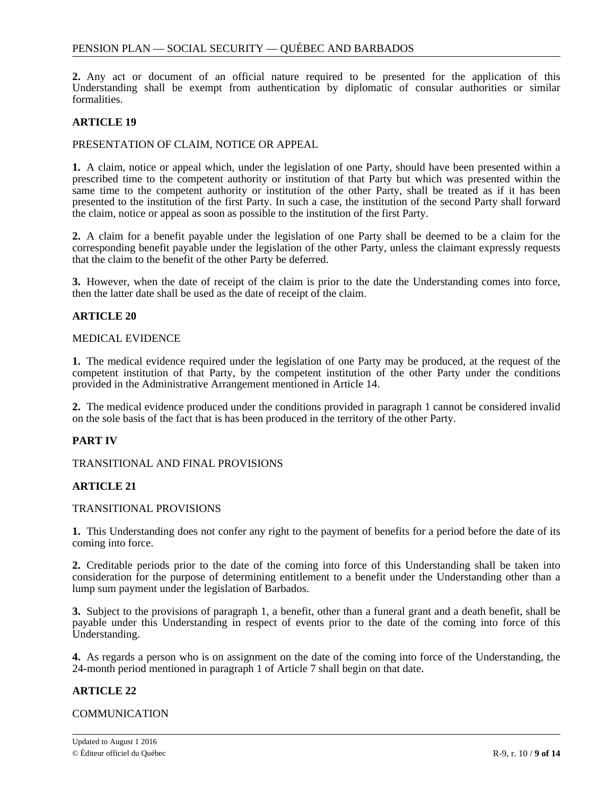**2.** Any act or document of an official nature required to be presented for the application of this Understanding shall be exempt from authentication by diplomatic of consular authorities or similar formalities.

# **ARTICLE 19**

### PRESENTATION OF CLAIM, NOTICE OR APPEAL

**1.** A claim, notice or appeal which, under the legislation of one Party, should have been presented within a prescribed time to the competent authority or institution of that Party but which was presented within the same time to the competent authority or institution of the other Party, shall be treated as if it has been presented to the institution of the first Party. In such a case, the institution of the second Party shall forward the claim, notice or appeal as soon as possible to the institution of the first Party.

**2.** A claim for a benefit payable under the legislation of one Party shall be deemed to be a claim for the corresponding benefit payable under the legislation of the other Party, unless the claimant expressly requests that the claim to the benefit of the other Party be deferred.

**3.** However, when the date of receipt of the claim is prior to the date the Understanding comes into force, then the latter date shall be used as the date of receipt of the claim.

### **ARTICLE 20**

### MEDICAL EVIDENCE

**1.** The medical evidence required under the legislation of one Party may be produced, at the request of the competent institution of that Party, by the competent institution of the other Party under the conditions provided in the Administrative Arrangement mentioned in Article 14.

**2.** The medical evidence produced under the conditions provided in paragraph 1 cannot be considered invalid on the sole basis of the fact that is has been produced in the territory of the other Party.

# **PART IV**

TRANSITIONAL AND FINAL PROVISIONS

# **ARTICLE 21**

### TRANSITIONAL PROVISIONS

**1.** This Understanding does not confer any right to the payment of benefits for a period before the date of its coming into force.

**2.** Creditable periods prior to the date of the coming into force of this Understanding shall be taken into consideration for the purpose of determining entitlement to a benefit under the Understanding other than a lump sum payment under the legislation of Barbados.

**3.** Subject to the provisions of paragraph 1, a benefit, other than a funeral grant and a death benefit, shall be payable under this Understanding in respect of events prior to the date of the coming into force of this Understanding.

**4.** As regards a person who is on assignment on the date of the coming into force of the Understanding, the 24-month period mentioned in paragraph 1 of Article 7 shall begin on that date.

# **ARTICLE 22**

### **COMMUNICATION**